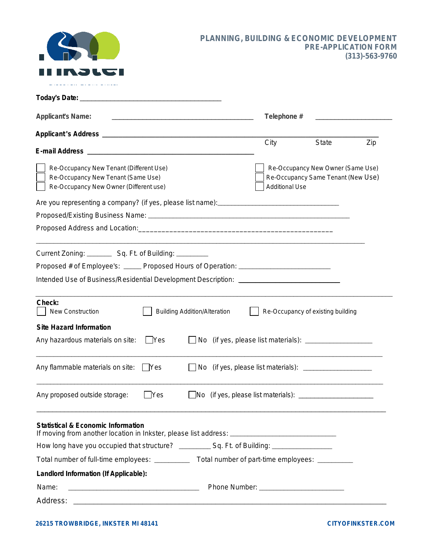

#### **PLANNING, BUILDING & ECONOMIC DEVELOPMENT PRE-APPLICATION FORM (313)-563-9760**

| <b>Applicant's Name:</b><br>the control of the control of the control of the control of the control of the control of                                |            |                                     |  |      | Telephone #                                                                                      |     |  |
|------------------------------------------------------------------------------------------------------------------------------------------------------|------------|-------------------------------------|--|------|--------------------------------------------------------------------------------------------------|-----|--|
|                                                                                                                                                      |            |                                     |  |      |                                                                                                  |     |  |
| <b>E-mail Address</b>                                                                                                                                |            |                                     |  | City | <b>State</b>                                                                                     | Zip |  |
| Re-Occupancy New Tenant (Different Use)<br>Re-Occupancy New Tenant (Same Use)<br>Re-Occupancy New Owner (Different use)                              |            |                                     |  |      | Re-Occupancy New Owner (Same Use)<br>Re-Occupancy Same Tenant (New Use)<br><b>Additional Use</b> |     |  |
|                                                                                                                                                      |            |                                     |  |      |                                                                                                  |     |  |
|                                                                                                                                                      |            |                                     |  |      |                                                                                                  |     |  |
|                                                                                                                                                      |            |                                     |  |      |                                                                                                  |     |  |
| Current Zoning: __________ Sq. Ft. of Building: _________                                                                                            |            |                                     |  |      |                                                                                                  |     |  |
| Proposed # of Employee's: ______ Proposed Hours of Operation: ___________________                                                                    |            |                                     |  |      |                                                                                                  |     |  |
| Intended Use of Business/Residential Development Description: [1983] [1983] Intended Use of Business/Residential Development Description:            |            |                                     |  |      |                                                                                                  |     |  |
| Check:<br>New Construction                                                                                                                           |            | <b>Building Addition/Alteration</b> |  |      | Re-Occupancy of existing building                                                                |     |  |
| <b>Site Hazard Information</b>                                                                                                                       |            |                                     |  |      |                                                                                                  |     |  |
| Any hazardous materials on site:                                                                                                                     | Yes        | No.                                 |  |      | (if yes, please list materials): _____________________                                           |     |  |
| Any flammable materials on site:                                                                                                                     | Yes        |                                     |  |      |                                                                                                  |     |  |
| Any proposed outside storage:                                                                                                                        | <b>Yes</b> |                                     |  |      |                                                                                                  |     |  |
| <b>Statistical &amp; Economic Information</b><br>If moving from another location in Inkster, please list address: __________________________________ |            |                                     |  |      |                                                                                                  |     |  |
|                                                                                                                                                      |            |                                     |  |      |                                                                                                  |     |  |
|                                                                                                                                                      |            |                                     |  |      |                                                                                                  |     |  |
| Landlord Information (If Applicable):                                                                                                                |            |                                     |  |      |                                                                                                  |     |  |
| Name:                                                                                                                                                |            |                                     |  |      |                                                                                                  |     |  |
| Address:                                                                                                                                             |            |                                     |  |      |                                                                                                  |     |  |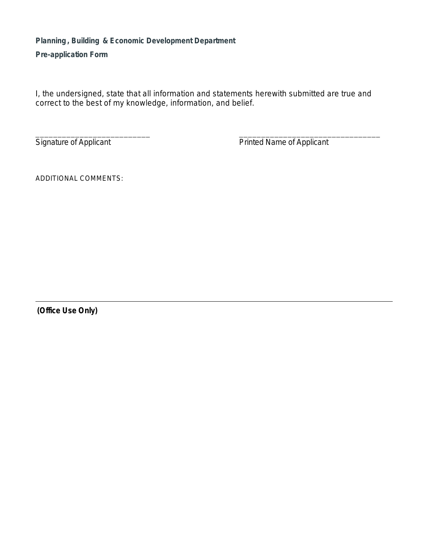## **Planning , Building & Economic Development Department**

**Pre-application Form**

I, the undersigned, state that all information and statements herewith submitted are true and correct to the best of my knowledge, information, and belief.

\_\_\_\_\_\_\_\_\_\_\_\_\_\_\_\_\_\_\_\_\_\_\_\_\_\_ \_\_\_\_\_\_\_\_\_\_\_\_\_\_\_\_\_\_\_\_\_\_\_\_\_\_\_\_\_\_\_\_

Signature of Applicant **Printed Name of Applicant** 

ADDITIONAL COMMENTS:

**(Office Use Only)**

 $\overline{a}$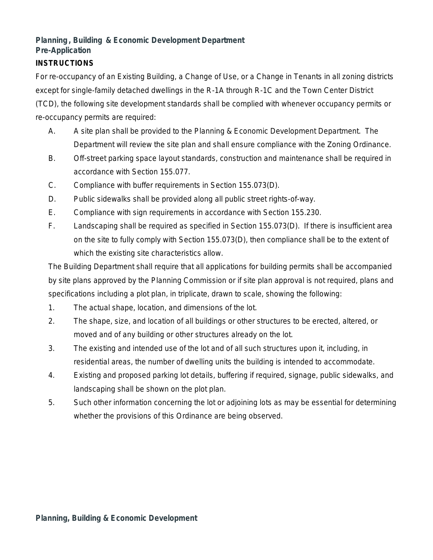# **Planning , Building & Economic Development Department Pre-Application**

#### **INSTRUCTIONS**

For re-occupancy of an Existing Building, a Change of Use, or a Change in Tenants in all zoning districts except for single-family detached dwellings in the R-1A through R-1C and the Town Center District (TCD), the following site development standards shall be complied with whenever occupancy permits or re-occupancy permits are required:

- A. A site plan shall be provided to the Planning & Economic Development Department. The Department will review the site plan and shall ensure compliance with the Zoning Ordinance.
- B. Off-street parking space layout standards, construction and maintenance shall be required in accordance with Section 155.077.
- C. Compliance with buffer requirements in Section 155.073(D).
- D. Public sidewalks shall be provided along all public street rights-of-way.
- E. Compliance with sign requirements in accordance with Section 155.230.
- F. Landscaping shall be required as specified in Section 155.073(D). If there is insufficient area on the site to fully comply with Section 155.073(D), then compliance shall be to the extent of which the existing site characteristics allow.

The Building Department shall require that all applications for building permits shall be accompanied by site plans approved by the Planning Commission or if site plan approval is not required, plans and specifications including a plot plan, in triplicate, drawn to scale, showing the following:

- 1. The actual shape, location, and dimensions of the lot.
- 2. The shape, size, and location of all buildings or other structures to be erected, altered, or moved and of any building or other structures already on the lot.
- 3. The existing and intended use of the lot and of all such structures upon it, including, in residential areas, the number of dwelling units the building is intended to accommodate.
- 4. Existing and proposed parking lot details, buffering if required, signage, public sidewalks, and landscaping shall be shown on the plot plan.
- 5. Such other information concerning the lot or adjoining lots as may be essential for determining whether the provisions of this Ordinance are being observed.